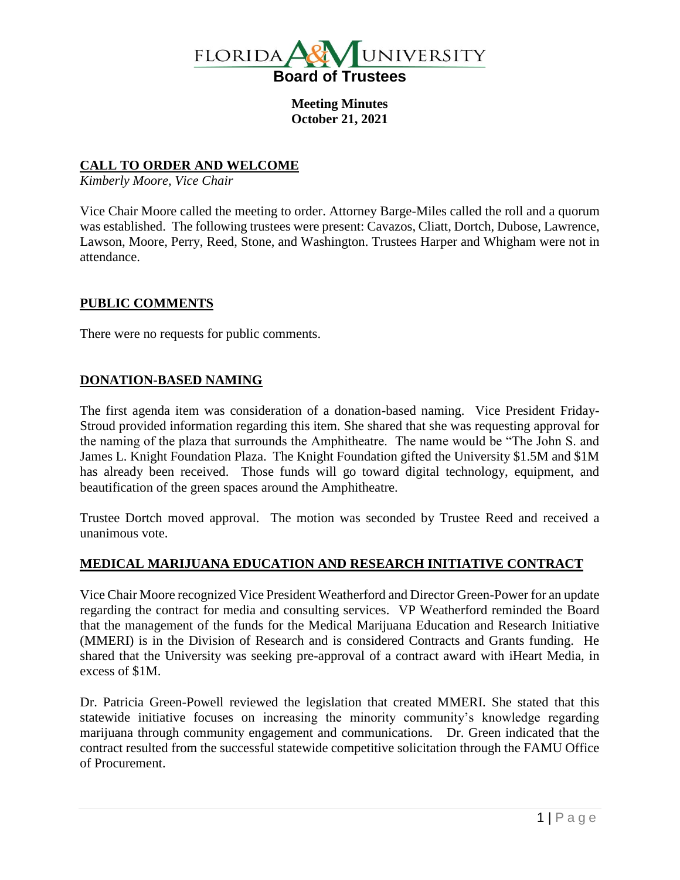

**Meeting Minutes October 21, 2021**

## **CALL TO ORDER AND WELCOME**

*Kimberly Moore, Vice Chair*

Vice Chair Moore called the meeting to order. Attorney Barge-Miles called the roll and a quorum was established. The following trustees were present: Cavazos, Cliatt, Dortch, Dubose, Lawrence, Lawson, Moore, Perry, Reed, Stone, and Washington. Trustees Harper and Whigham were not in attendance.

## **PUBLIC COMMENTS**

There were no requests for public comments.

## **DONATION-BASED NAMING**

The first agenda item was consideration of a donation-based naming. Vice President Friday-Stroud provided information regarding this item. She shared that she was requesting approval for the naming of the plaza that surrounds the Amphitheatre. The name would be "The John S. and James L. Knight Foundation Plaza. The Knight Foundation gifted the University \$1.5M and \$1M has already been received. Those funds will go toward digital technology, equipment, and beautification of the green spaces around the Amphitheatre.

Trustee Dortch moved approval. The motion was seconded by Trustee Reed and received a unanimous vote.

#### **MEDICAL MARIJUANA EDUCATION AND RESEARCH INITIATIVE CONTRACT**

Vice Chair Moore recognized Vice President Weatherford and Director Green-Power for an update regarding the contract for media and consulting services. VP Weatherford reminded the Board that the management of the funds for the Medical Marijuana Education and Research Initiative (MMERI) is in the Division of Research and is considered Contracts and Grants funding. He shared that the University was seeking pre-approval of a contract award with iHeart Media, in excess of \$1M.

Dr. Patricia Green-Powell reviewed the legislation that created MMERI. She stated that this statewide initiative focuses on increasing the minority community's knowledge regarding marijuana through community engagement and communications. Dr. Green indicated that the contract resulted from the successful statewide competitive solicitation through the FAMU Office of Procurement.